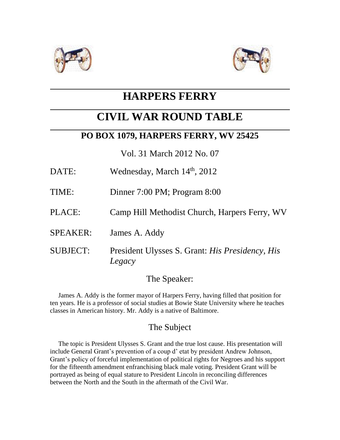



# **HARPERS FERRY**

# **CIVIL WAR ROUND TABLE**

## **PO BOX 1079, HARPERS FERRY, WV 25425**

Vol. 31 March 2012 No. 07

- DATE: Wednesday, March  $14<sup>th</sup>$ ,  $2012$
- TIME: Dinner 7:00 PM; Program 8:00
- PLACE: Camp Hill Methodist Church, Harpers Ferry, WV
- SPEAKER: James A. Addy
- SUBJECT: President Ulysses S. Grant: *His Presidency, His Legacy*

### The Speaker:

 James A. Addy is the former mayor of Harpers Ferry, having filled that position for ten years. He is a professor of social studies at Bowie State University where he teaches classes in American history. Mr. Addy is a native of Baltimore.

# The Subject

 The topic is President Ulysses S. Grant and the true lost cause. His presentation will include General Grant's prevention of a coup d' etat by president Andrew Johnson, Grant's policy of forceful implementation of political rights for Negroes and his support for the fifteenth amendment enfranchising black male voting. President Grant will be portrayed as being of equal stature to President Lincoln in reconciling differences between the North and the South in the aftermath of the Civil War.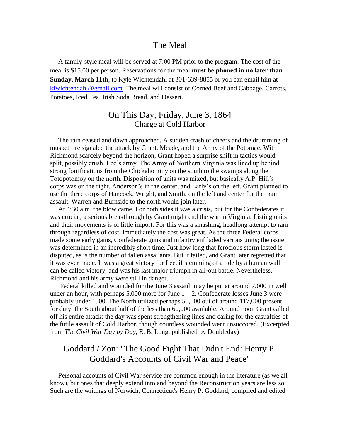#### The Meal

 A family-style meal will be served at 7:00 PM prior to the program. The cost of the meal is \$15.00 per person. Reservations for the meal **must be phoned in no later than Sunday, March 11th**, to Kyle Wichtendahl at 301-639-8855 or you can email him at [kfwichtendahl@gmail.com](mailto:kfwichtendahl@gmail.com) The meal will consist of Corned Beef and Cabbage, Carrots, Potatoes, Iced Tea, Irish Soda Bread, and Dessert.

### On This Day, Friday, June 3, 1864 Charge at Cold Harbor

 The rain ceased and dawn approached. A sudden crash of cheers and the drumming of musket fire signaled the attack by Grant, Meade, and the Army of the Potomac. With Richmond scarcely beyond the horizon, Grant hoped a surprise shift in tactics would split, possibly crush, Lee's army. The Army of Northern Virginia was lined up behind strong fortifications from the Chickahominy on the south to the swamps along the Totopotomoy on the north. Disposition of units was mixed, but basically A.P. Hill's corps was on the right, Anderson's in the center, and Early's on the left. Grant planned to use the three corps of Hancock, Wright, and Smith, on the left and center for the main assault. Warren and Burnside to the north would join later.

 At 4:30 a.m. the blow came. For both sides it was a crisis, but for the Confederates it was crucial; a serious breakthrough by Grant might end the war in Virginia. Listing units and their movements is of little import. For this was a smashing, headlong attempt to ram through regardless of cost. Immediately the cost was great. As the three Federal corps made some early gains, Confederate guns and infantry enfiladed various units; the issue was determined in an incredibly short time. Just how long that ferocious storm lasted is disputed, as is the number of fallen assailants. But it failed, and Grant later regretted that it was ever made. It was a great victory for Lee, if stemming of a tide by a human wall can be called victory, and was his last major triumph in all-out battle. Nevertheless, Richmond and his army were still in danger.

 Federal killed and wounded for the June 3 assault may be put at around 7,000 in well under an hour, with perhaps  $5,000$  more for June  $1 - 2$ . Confederate losses June 3 were probably under 1500. The North utilized perhaps 50,000 out of around 117,000 present for duty; the South about half of the less than 60,000 available. Around noon Grant called off his entire attack; the day was spent strengthening lines and caring for the casualties of the futile assault of Cold Harbor, though countless wounded went unsuccored. (Excerpted from *The Civil War Day by Day,* E. B. Long, published by Doubleday)

## Goddard / Zon: "The Good Fight That Didn't End: Henry P. Goddard's Accounts of Civil War and Peace"

 Personal accounts of Civil War service are common enough in the literature (as we all know), but ones that deeply extend into and beyond the Reconstruction years are less so. Such are the writings of Norwich, Connecticut's Henry P. Goddard, compiled and edited